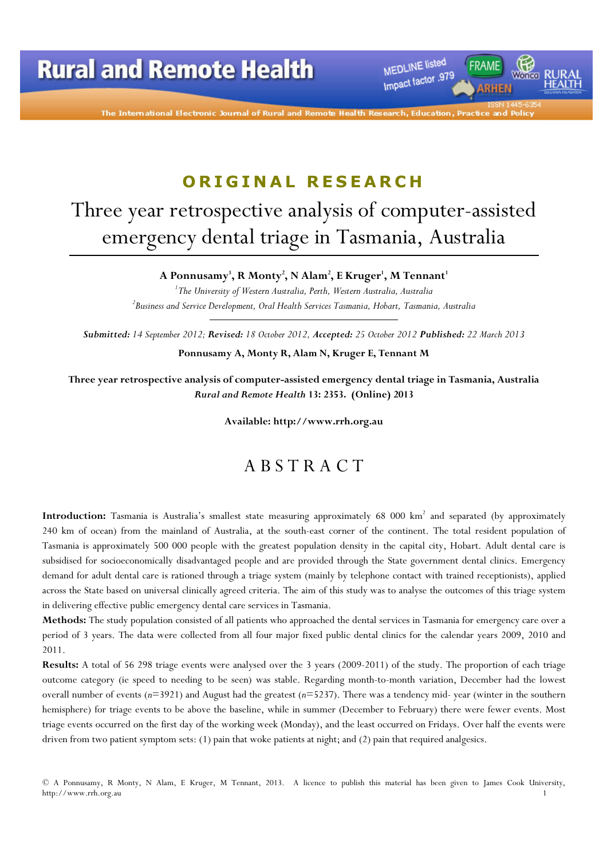MEDLINE listed Impact factor .979

The International Electronic Journal of Rural and Remote

# ORIGINAL RESEARCH

# Three year retrospective analysis of computer-assisted emergency dental triage in Tasmania, Australia

A Ponnusamy', R Monty<sup>2</sup>, N Alam<sup>2</sup>, E Kruger', M Tennant<sup>1</sup>

<sup>1</sup>The University of Western Australia, Perth, Western Australia, Australia  $^2$ Business and Service Development, Oral Health Services Tasmania, Hobart, Tasmania, Australia

Submitted: 14 September 2012; Revised: 18 October 2012, Accepted: 25 October 2012 Published: 22 March 2013

Ponnusamy A, Monty R, Alam N, Kruger E, Tennant M

Three year retrospective analysis of computer-assisted emergency dental triage in Tasmania, Australia Rural and Remote Health 13: 2353. (Online) 2013

Available: http://www.rrh.org.au

### A B S T R A C T

Introduction: Tasmania is Australia's smallest state measuring approximately 68 000 km<sup>2</sup> and separated (by approximately 240 km of ocean) from the mainland of Australia, at the south-east corner of the continent. The total resident population of Tasmania is approximately 500 000 people with the greatest population density in the capital city, Hobart. Adult dental care is subsidised for socioeconomically disadvantaged people and are provided through the State government dental clinics. Emergency demand for adult dental care is rationed through a triage system (mainly by telephone contact with trained receptionists), applied across the State based on universal clinically agreed criteria. The aim of this study was to analyse the outcomes of this triage system in delivering effective public emergency dental care services in Tasmania.

Methods: The study population consisted of all patients who approached the dental services in Tasmania for emergency care over a period of 3 years. The data were collected from all four major fixed public dental clinics for the calendar years 2009, 2010 and 2011.

Results: A total of 56 298 triage events were analysed over the 3 years (2009-2011) of the study. The proportion of each triage outcome category (ie speed to needing to be seen) was stable. Regarding month-to-month variation, December had the lowest overall number of events  $(n=3921)$  and August had the greatest  $(n=5237)$ . There was a tendency mid- year (winter in the southern hemisphere) for triage events to be above the baseline, while in summer (December to February) there were fewer events. Most triage events occurred on the first day of the working week (Monday), and the least occurred on Fridays. Over half the events were driven from two patient symptom sets: (1) pain that woke patients at night; and (2) pain that required analgesics.

<sup>©</sup> A Ponnusamy, R Monty, N Alam, E Kruger, M Tennant, 2013. A licence to publish this material has been given to James Cook University, http://www.rrh.org.au 1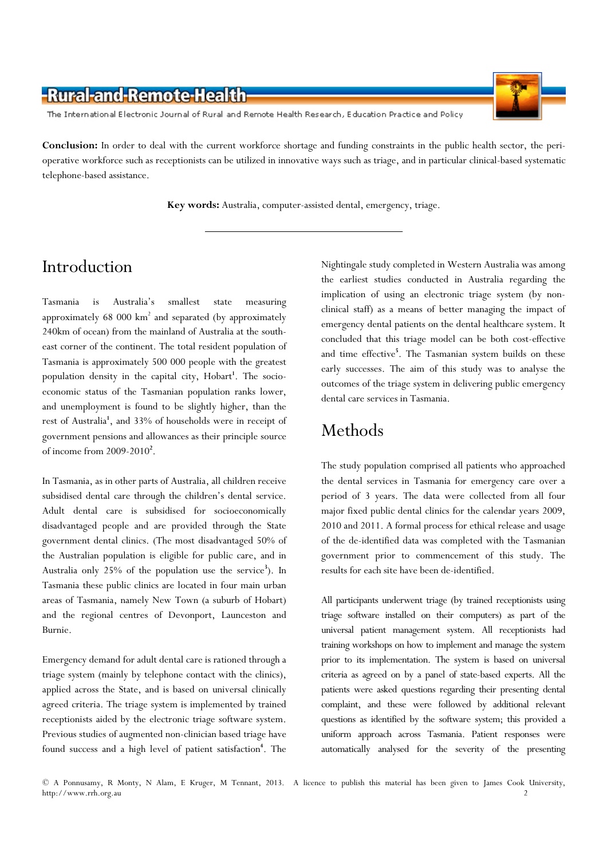

The International Electronic Journal of Rural and Remote Health Research, Education Practice and Policy

Conclusion: In order to deal with the current workforce shortage and funding constraints in the public health sector, the perioperative workforce such as receptionists can be utilized in innovative ways such as triage, and in particular clinical-based systematic telephone-based assistance.

Key words: Australia, computer-assisted dental, emergency, triage.

# Introduction

Tasmania is Australia's smallest state measuring approximately 68 000 km<sup>2</sup> and separated (by approximately 240km of ocean) from the mainland of Australia at the southeast corner of the continent. The total resident population of Tasmania is approximately 500 000 people with the greatest population density in the capital city, Hobart<sup>1</sup>. The socioeconomic status of the Tasmanian population ranks lower, and unemployment is found to be slightly higher, than the rest of Australia<sup>1</sup>, and 33% of households were in receipt of government pensions and allowances as their principle source of income from  $2009 - 2010^2$ .

In Tasmania, as in other parts of Australia, all children receive subsidised dental care through the children's dental service. Adult dental care is subsidised for socioeconomically disadvantaged people and are provided through the State government dental clinics. (The most disadvantaged 50% of the Australian population is eligible for public care, and in Australia only 25% of the population use the service<sup>3</sup>). In Tasmania these public clinics are located in four main urban areas of Tasmania, namely New Town (a suburb of Hobart) and the regional centres of Devonport, Launceston and Burnie.

Emergency demand for adult dental care is rationed through a triage system (mainly by telephone contact with the clinics), applied across the State, and is based on universal clinically agreed criteria. The triage system is implemented by trained receptionists aided by the electronic triage software system. Previous studies of augmented non-clinician based triage have found success and a high level of patient satisfaction<sup>4</sup>. The

Nightingale study completed in Western Australia was among the earliest studies conducted in Australia regarding the implication of using an electronic triage system (by nonclinical staff) as a means of better managing the impact of emergency dental patients on the dental healthcare system. It concluded that this triage model can be both cost-effective and time effective<sup>5</sup>. The Tasmanian system builds on these early successes. The aim of this study was to analyse the outcomes of the triage system in delivering public emergency dental care services in Tasmania.

## Methods

The study population comprised all patients who approached the dental services in Tasmania for emergency care over a period of 3 years. The data were collected from all four major fixed public dental clinics for the calendar years 2009, 2010 and 2011. A formal process for ethical release and usage of the de-identified data was completed with the Tasmanian government prior to commencement of this study. The results for each site have been de-identified.

All participants underwent triage (by trained receptionists using triage software installed on their computers) as part of the universal patient management system. All receptionists had training workshops on how to implement and manage the system prior to its implementation. The system is based on universal criteria as agreed on by a panel of state-based experts. All the patients were asked questions regarding their presenting dental complaint, and these were followed by additional relevant questions as identified by the software system; this provided a uniform approach across Tasmania. Patient responses were automatically analysed for the severity of the presenting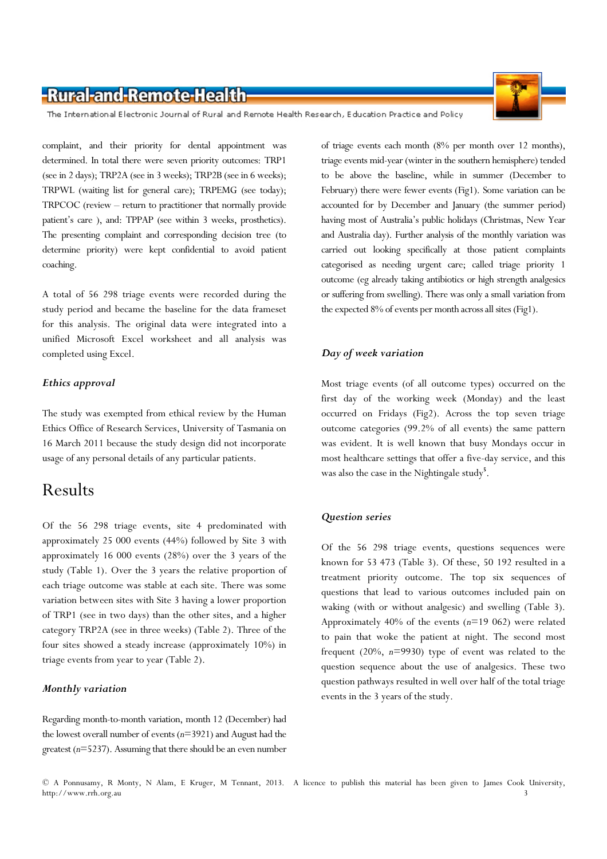The International Electronic Journal of Rural and Remote Health Research, Education Practice and Policy

complaint, and their priority for dental appointment was determined. In total there were seven priority outcomes: TRP1 (see in 2 days); TRP2A (see in 3 weeks); TRP2B (see in 6 weeks); TRPWL (waiting list for general care); TRPEMG (see today); TRPCOC (review – return to practitioner that normally provide patient's care ), and: TPPAP (see within 3 weeks, prosthetics). The presenting complaint and corresponding decision tree (to determine priority) were kept confidential to avoid patient coaching.

A total of 56 298 triage events were recorded during the study period and became the baseline for the data frameset for this analysis. The original data were integrated into a unified Microsoft Excel worksheet and all analysis was completed using Excel.

#### Ethics approval

The study was exempted from ethical review by the Human Ethics Office of Research Services, University of Tasmania on 16 March 2011 because the study design did not incorporate usage of any personal details of any particular patients.

### Results

Of the 56 298 triage events, site 4 predominated with approximately 25 000 events (44%) followed by Site 3 with approximately 16 000 events (28%) over the 3 years of the study (Table 1). Over the 3 years the relative proportion of each triage outcome was stable at each site. There was some variation between sites with Site 3 having a lower proportion of TRP1 (see in two days) than the other sites, and a higher category TRP2A (see in three weeks) (Table 2). Three of the four sites showed a steady increase (approximately 10%) in triage events from year to year (Table 2).

#### Monthly variation

Regarding month-to-month variation, month 12 (December) had the lowest overall number of events  $(n=3921)$  and August had the greatest ( $n=5237$ ). Assuming that there should be an even number

of triage events each month (8% per month over 12 months), triage events mid-year (winter in the southern hemisphere) tended to be above the baseline, while in summer (December to February) there were fewer events (Fig1). Some variation can be accounted for by December and January (the summer period) having most of Australia's public holidays (Christmas, New Year and Australia day). Further analysis of the monthly variation was carried out looking specifically at those patient complaints categorised as needing urgent care; called triage priority 1 outcome (eg already taking antibiotics or high strength analgesics or suffering from swelling). There was only a small variation from the expected 8% of events per month across all sites (Fig1).

#### Day of week variation

Most triage events (of all outcome types) occurred on the first day of the working week (Monday) and the least occurred on Fridays (Fig2). Across the top seven triage outcome categories (99.2% of all events) the same pattern was evident. It is well known that busy Mondays occur in most healthcare settings that offer a five-day service, and this was also the case in the Nightingale study<sup>5</sup>.

#### Question series

Of the 56 298 triage events, questions sequences were known for 53 473 (Table 3). Of these, 50 192 resulted in a treatment priority outcome. The top six sequences of questions that lead to various outcomes included pain on waking (with or without analgesic) and swelling (Table 3). Approximately  $40\%$  of the events ( $n=19062$ ) were related to pain that woke the patient at night. The second most frequent  $(20\%, n=9930)$  type of event was related to the question sequence about the use of analgesics. These two question pathways resulted in well over half of the total triage events in the 3 years of the study.

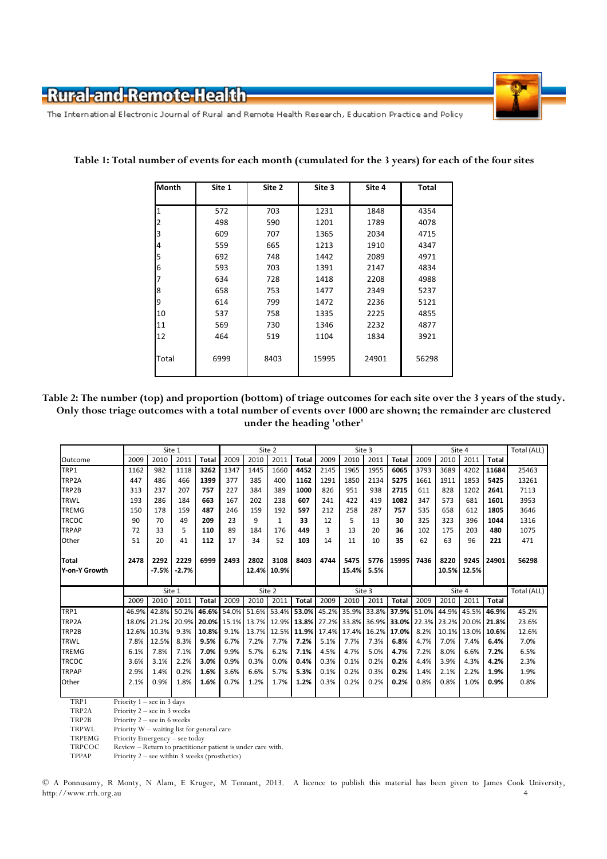

The International Electronic Journal of Rural and Remote Health Research, Education Practice and Policy

| Month        | Site 1 | Site 2 | Site 3 | Site 4 | Total |  |  |
|--------------|--------|--------|--------|--------|-------|--|--|
|              |        |        |        |        |       |  |  |
| $\mathbf{1}$ | 572    | 703    | 1231   | 1848   | 4354  |  |  |
| 2            | 498    | 590    | 1201   | 1789   | 4078  |  |  |
| 3            | 609    | 707    | 1365   | 2034   | 4715  |  |  |
| 4            | 559    | 665    | 1213   | 1910   | 4347  |  |  |
| 5            | 692    | 748    | 1442   | 2089   | 4971  |  |  |
| 6            | 593    | 703    | 1391   | 2147   | 4834  |  |  |
| 7            | 634    | 728    | 1418   | 2208   | 4988  |  |  |
| 8            | 658    | 753    | 1477   | 2349   | 5237  |  |  |
| 9            | 614    | 799    | 1472   | 2236   | 5121  |  |  |
| 10           | 537    | 758    | 1335   | 2225   | 4855  |  |  |
| 11           | 569    | 730    | 1346   | 2232   | 4877  |  |  |
| 12           | 464    | 519    | 1104   | 1834   | 3921  |  |  |
|              |        |        |        |        |       |  |  |
| Total        | 6999   | 8403   | 15995  | 24901  | 56298 |  |  |
|              |        |        |        |        |       |  |  |

Table 1: Total number of events for each month (cumulated for the 3 years) for each of the four sites

Table 2: The number (top) and proportion (bottom) of triage outcomes for each site over the 3 years of the study. Only those triage outcomes with a total number of events over 1000 are shown; the remainder are clustered under the heading 'other'

|               |        | Site 1      |         |              | Site 2      |      |                   | Site 3            |      |                                     |        | Site 4       |             |       |                   | Total (ALL) |       |
|---------------|--------|-------------|---------|--------------|-------------|------|-------------------|-------------------|------|-------------------------------------|--------|--------------|-------------|-------|-------------------|-------------|-------|
| Outcome       | 2009   | 2010        | 2011    | <b>Total</b> | 2009        | 2010 | 2011              | <b>Total</b>      | 2009 | 2010                                | 2011   | <b>Total</b> | 2009        | 2010  | 2011              | Total       |       |
| TRP1          | 1162   | 982         | 1118    | 3262         | 1347        | 1445 | 1660              | 4452              | 2145 | 1965                                | 1955   | 6065         | 3793        | 3689  | 4202              | 11684       | 25463 |
| TRP2A         | 447    | 486         | 466     | 1399         | 377         | 385  | 400               | 1162              | 1291 | 1850                                | 2134   | 5275         | 1661        | 1911  | 1853              | 5425        | 13261 |
| TRP2B         | 313    | 237         | 207     | 757          | 227         | 384  | 389               | 1000              | 826  | 951                                 | 938    | 2715         | 611         | 828   | 1202              | 2641        | 7113  |
| <b>TRWL</b>   | 193    | 286         | 184     | 663          | 167         | 202  | 238               | 607               | 241  | 422                                 | 419    | 1082         | 347         | 573   | 681               | 1601        | 3953  |
| <b>TREMG</b>  | 150    | 178         | 159     | 487          | 246         | 159  | 192               | 597               | 212  | 258                                 | 287    | 757          | 535         | 658   | 612               | 1805        | 3646  |
| <b>TRCOC</b>  | 90     | 70          | 49      | 209          | 23          | 9    | $\mathbf{1}$      | 33                | 12   | 5                                   | 13     | 30           | 325         | 323   | 396               | 1044        | 1316  |
| <b>TRPAP</b>  | 72     | 33          | 5       | 110          | 89          | 184  | 176               | 449               | 3    | 13                                  | 20     | 36           | 102         | 175   | 203               | 480         | 1075  |
| Other         | 51     | 20          | 41      | 112          | 17          | 34   | 52                | 103               | 14   | 11                                  | 10     | 35           | 62          | 63    | 96                | 221         | 471   |
|               |        |             |         |              |             |      |                   |                   |      |                                     |        |              |             |       |                   |             |       |
| <b>Total</b>  | 2478   | 2292        | 2229    | 6999         | 2493        | 2802 | 3108              | 8403              | 4744 | 5475                                | 5776   | 15995        | 7436        | 8220  | 9245              | 24901       | 56298 |
| Y-on-Y Growth |        | $-7.5%$     | $-2.7%$ |              |             |      | 12.4% 10.9%       |                   |      | 15.4%                               | 5.5%   |              |             |       | 10.5% 12.5%       |             |       |
|               |        |             |         |              |             |      |                   |                   |      |                                     |        |              |             |       |                   |             |       |
|               | Site 1 |             |         |              | Site 2      |      |                   | Site 3            |      |                                     | Site 4 |              |             |       | Total (ALL)       |             |       |
|               | 2009   | 2010        | 2011    | <b>Total</b> | 2009        | 2010 | 2011              | Total             | 2009 | 2010                                | 2011   | <b>Total</b> | 2009        | 2010  | 2011              | Total       |       |
| TRP1          | 46.9%  | 42.8% 50.2% |         |              | 46.6% 54.0% |      |                   | 51.6% 53.4% 53.0% |      | 45.2% 35.9% 33.8%                   |        |              | 37.9% 51.0% |       | 44.9% 45.5% 46.9% |             | 45.2% |
| TRP2A         | 18.0%  | 21.2% 20.9% |         | 20.0% 15.1%  |             |      |                   |                   |      | 13.7% 12.9% 13.8% 27.2% 33.8% 36.9% |        | 33.0% 22.3%  |             |       | 23.2% 20.0% 21.8% |             | 23.6% |
| TRP2B         | 12.6%  | 10.3%       | 9.3%    | 10.8%        | 9.1%        |      | 13.7% 12.5% 11.9% |                   |      | 17.4% 17.4%                         | 16.2%  | 17.0%        | 8.2%        | 10.1% |                   | 13.0% 10.6% | 12.6% |
| <b>TRWL</b>   | 7.8%   | 12.5%       | 8.3%    | 9.5%         | 6.7%        | 7.2% | 7.7%              | 7.2%              | 5.1% | 7.7%                                | 7.3%   | 6.8%         | 4.7%        | 7.0%  | 7.4%              | 6.4%        | 7.0%  |
| <b>TREMG</b>  | 6.1%   | 7.8%        | 7.1%    | 7.0%         | 9.9%        | 5.7% | 6.2%              | 7.1%              | 4.5% | 4.7%                                | 5.0%   | 4.7%         | 7.2%        | 8.0%  | 6.6%              | 7.2%        | 6.5%  |
| <b>TRCOC</b>  | 3.6%   | 3.1%        | 2.2%    | 3.0%         | 0.9%        | 0.3% | 0.0%              | 0.4%              | 0.3% | 0.1%                                | 0.2%   | 0.2%         | 4.4%        | 3.9%  | 4.3%              | 4.2%        | 2.3%  |
| <b>TRPAP</b>  | 2.9%   | 1.4%        | 0.2%    | 1.6%         | 3.6%        | 6.6% | 5.7%              | 5.3%              | 0.1% | 0.2%                                | 0.3%   | 0.2%         | 1.4%        | 2.1%  | 2.2%              | 1.9%        | 1.9%  |
| Other         | 2.1%   | 0.9%        | 1.8%    | 1.6%         | 0.7%        | 1.2% | 1.7%              | 1.2%              | 0.3% | 0.2%                                | 0.2%   | 0.2%         | 0.8%        | 0.8%  | 1.0%              | 0.9%        | 0.8%  |
|               |        |             |         |              |             |      |                   |                   |      |                                     |        |              |             |       |                   |             |       |

TRP1 Priority 1 – see in 3 days<br>TRP2A Priority 2 – see in 3 week

TRP2A Priority  $2$  – see in 3 weeks<br>TRP2B Priority  $2$  – see in 6 weeks

TRP2B Priority  $2$  – see in 6 weeks<br>TRPWI Priority  $W$  – waiting list for

TRPWL Priority W – waiting list for general care<br>TRPEMG Priority Emergency – see today

TRPEMG Priority Emergency – see today<br>TRPCOC Review – Return to practitioner

TRPCOC Review – Return to practitioner patient is under care with.<br>TPPAP Priority 2 – see within 3 weeks (prosthetics) Priority  $2$  – see within 3 weeks (prosthetics)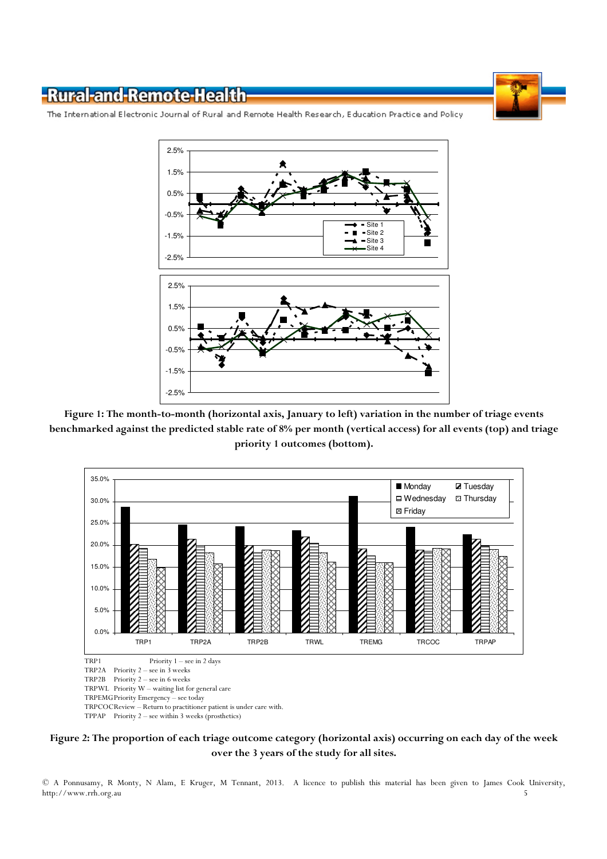

The International Electronic Journal of Rural and Remote Health Research, Education Practice and Policy



Figure 1: The month-to-month (horizontal axis, January to left) variation in the number of triage events benchmarked against the predicted stable rate of 8% per month (vertical access) for all events (top) and triage priority 1 outcomes (bottom).



Figure 2: The proportion of each triage outcome category (horizontal axis) occurring on each day of the week over the 3 years of the study for all sites.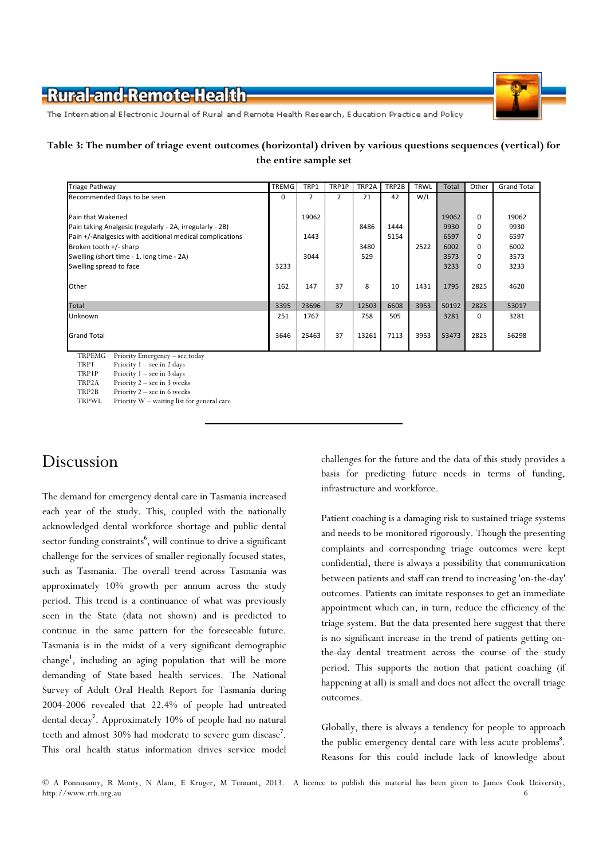

The International Electronic Journal of Rural and Remote Health Research, Education Practice and Policy

#### Table 3: The number of triage event outcomes (horizontal) driven by various questions sequences (vertical) for the entire sample set

| <b>Triage Pathway</b>                                    | TREMG | TRP1  | TRP1P | TRP2A | TRP2B | <b>TRWL</b> | <b>Total</b> | Other    | <b>Grand Total</b> |  |
|----------------------------------------------------------|-------|-------|-------|-------|-------|-------------|--------------|----------|--------------------|--|
| Recommended Days to be seen                              | 0     | 2     | 2     | 21    | 42    | W/L         |              |          |                    |  |
| Pain that Wakened                                        |       | 19062 |       |       |       |             | 19062        | $\Omega$ | 19062              |  |
|                                                          |       |       |       |       |       |             |              |          |                    |  |
| Pain taking Analgesic (regularly - 2A, irregularly - 2B) |       |       |       | 8486  | 1444  |             | 9930         | $\Omega$ | 9930               |  |
| Pain +/-Analgesics with additional medical complications |       | 1443  |       |       | 5154  |             | 6597         | 0        | 6597               |  |
| Broken tooth $+/-$ sharp                                 |       |       |       | 3480  |       | 2522        | 6002         | $\Omega$ | 6002               |  |
| Swelling (short time - 1, long time - 2A)                |       | 3044  |       | 529   |       |             | 3573         | $\Omega$ | 3573               |  |
| Swelling spread to face                                  | 3233  |       |       |       |       |             | 3233         | $\Omega$ | 3233               |  |
| Other                                                    | 162   | 147   | 37    | 8     | 10    | 1431        | 1795         | 2825     | 4620               |  |
| Total                                                    | 3395  | 23696 | 37    | 12503 | 6608  | 3953        | 50192        | 2825     | 53017              |  |
| Unknown                                                  | 251   | 1767  |       | 758   | 505   |             | 3281         | $\Omega$ | 3281               |  |
| <b>Grand Total</b>                                       | 3646  | 25463 | 37    | 13261 | 7113  | 3953        | 53473        | 2825     | 56298              |  |
| TRPEMG<br>Priority Emergency – see today                 |       |       |       |       |       |             |              |          |                    |  |

TRP1 Priority 1 – see in 2 days

TRP1P Priority 1 – see in 3 days<br>TRP2A Priority 2 – see in 3 week Priority  $2$  – see in 3 weeks

TRP2B Priority 2 – see in 6 weeks<br>TRPWL Priority W – waiting list fo Priority W – waiting list for general care

# Discussion

The demand for emergency dental care in Tasmania increased each year of the study. This, coupled with the nationally acknowledged dental workforce shortage and public dental sector funding constraints<sup>6</sup>, will continue to drive a significant challenge for the services of smaller regionally focused states, such as Tasmania. The overall trend across Tasmania was approximately 10% growth per annum across the study period. This trend is a continuance of what was previously seen in the State (data not shown) and is predicted to continue in the same pattern for the foreseeable future. Tasmania is in the midst of a very significant demographic change<sup>1</sup>, including an aging population that will be more demanding of State-based health services. The National Survey of Adult Oral Health Report for Tasmania during 2004-2006 revealed that 22.4% of people had untreated dental decay<sup>7</sup> . Approximately 10% of people had no natural teeth and almost 30% had moderate to severe gum disease<sup>7</sup>. This oral health status information drives service model

challenges for the future and the data of this study provides a basis for predicting future needs in terms of funding, infrastructure and workforce.

Patient coaching is a damaging risk to sustained triage systems and needs to be monitored rigorously. Though the presenting complaints and corresponding triage outcomes were kept confidential, there is always a possibility that communication between patients and staff can trend to increasing 'on-the-day' outcomes. Patients can imitate responses to get an immediate appointment which can, in turn, reduce the efficiency of the triage system. But the data presented here suggest that there is no significant increase in the trend of patients getting onthe-day dental treatment across the course of the study period. This supports the notion that patient coaching (if happening at all) is small and does not affect the overall triage outcomes.

Globally, there is always a tendency for people to approach the public emergency dental care with less acute problems<sup>8</sup>. Reasons for this could include lack of knowledge about